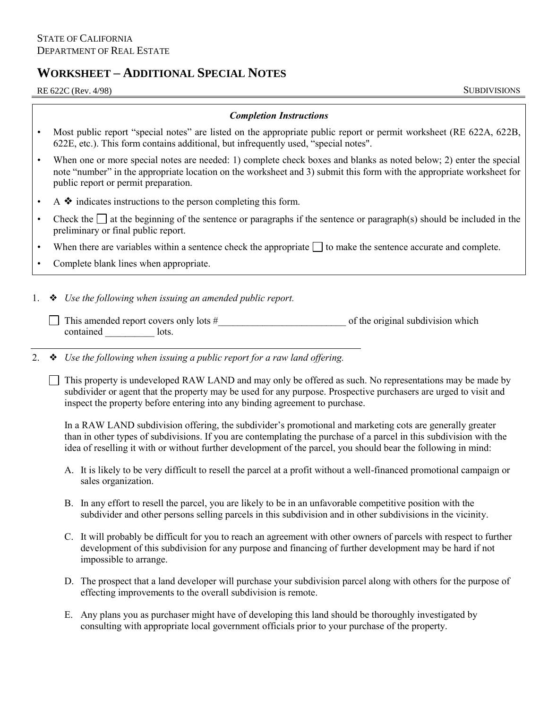## **WORKSHEET – ADDITIONAL SPECIAL NOTES**

RE 622C (Rev. 4/98) SUBDIVISIONS

## *Completion Instructions*

- • Most public report "special notes" are listed on the appropriate public report or permit worksheet (RE 622A, 622B, 622E, etc.). This form contains additional, but infrequently used, "special notes".
- • When one or more special notes are needed: 1) complete check boxes and blanks as noted below; 2) enter the special note "number" in the appropriate location on the worksheet and 3) submit this form with the appropriate worksheet for public report or permit preparation.
- $A \triangleleft$  indicates instructions to the person completing this form.
- Check the  $\Box$  at the beginning of the sentence or paragraphs if the sentence or paragraph(s) should be included in the preliminary or final public report.
- When there are variables within a sentence check the appropriate  $\Box$  to make the sentence accurate and complete.
- Complete blank lines when appropriate.
- 1. ❖ *Use the following when issuing an amended public report.* 
	- $\Box$  This amended report covers only lots  $\#$   $\Box$  of the original subdivision which contained lots.
- 2. ❖ *Use the following when issuing a public report for a raw land offering.* 
	- $\Box$  This property is undeveloped RAW LAND and may only be offered as such. No representations may be made by subdivider or agent that the property may be used for any purpose. Prospective purchasers are urged to visit and inspect the property before entering into any binding agreement to purchase.

 than in other types of subdivisions. If you are contemplating the purchase of a parcel in this subdivision with the idea of reselling it with or without further development of the parcel, you should bear the following in mind: In a RAW LAND subdivision offering, the subdivider's promotional and marketing cots are generally greater

- A. It is likely to be very difficult to resell the parcel at a profit without a well-financed promotional campaign or sales organization.
- B. In any effort to resell the parcel, you are likely to be in an unfavorable competitive position with the subdivider and other persons selling parcels in this subdivision and in other subdivisions in the vicinity.
- C. It will probably be difficult for you to reach an agreement with other owners of parcels with respect to further development of this subdivision for any purpose and financing of further development may be hard if not impossible to arrange.
- D. The prospect that a land developer will purchase your subdivision parcel along with others for the purpose of effecting improvements to the overall subdivision is remote.
- E. Any plans you as purchaser might have of developing this land should be thoroughly investigated by consulting with appropriate local government officials prior to your purchase of the property.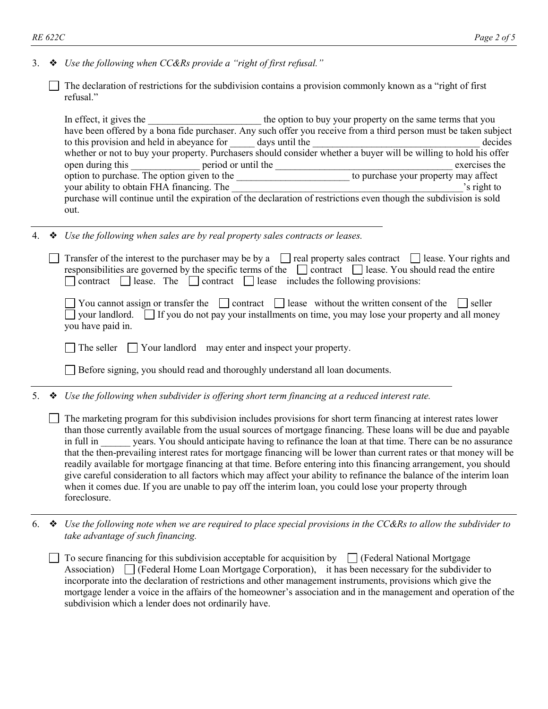- 3. ❖ *Use the following when CC&Rs provide a "right of first refusal."*
	- The declaration of restrictions for the subdivision contains a provision commonly known as a "right of first refusal."

 whether or not to buy your property. Purchasers should consider whether a buyer will be willing to hold his offer In effect, it gives the the same terms that you have the option to buy your property on the same terms that you have been offered by a bona fide purchaser. Any such offer you receive from a third person must be taken subject to this provision and held in abeyance for days until the decides decides open during this period or until the exercises the exercises the exercises the exercises the exercises the exercises the exercises the exercises the exercises the exercises the exercises the exercises the exercises of  $\frac{$ option to purchase. The option given to the to purchase your property may affect your ability to obtain FHA financing. The total contract the set of the set of the set of the set of the set of the set of the set of the set of the set of the set of the set of the set of the set of the set of the set of purchase will continue until the expiration of the declaration of restrictions even though the subdivision is sold out.

4. ❖ *Use the following when sales are by real property sales contracts or leases.* 

|   |   | Transfer of the interest to the purchaser may be by a $\Box$ real property sales contract $\Box$ lease. Your rights and<br>responsibilities are governed by the specific terms of the $\Box$ contract $\Box$ lease. You should read the entire<br>lease. The $\Box$ contract $\Box$ lease includes the following provisions:<br>contract [                                                                                                                                                                                                                                                                                                                                                                                                                                                                                                              |
|---|---|---------------------------------------------------------------------------------------------------------------------------------------------------------------------------------------------------------------------------------------------------------------------------------------------------------------------------------------------------------------------------------------------------------------------------------------------------------------------------------------------------------------------------------------------------------------------------------------------------------------------------------------------------------------------------------------------------------------------------------------------------------------------------------------------------------------------------------------------------------|
|   |   | You cannot assign or transfer the $\Box$ contract $\Box$ lease without the written consent of the<br>seller<br>your landlord.<br>If you do not pay your installments on time, you may lose your property and all money<br>you have paid in.                                                                                                                                                                                                                                                                                                                                                                                                                                                                                                                                                                                                             |
|   |   | The seller $\Box$ Your landlord may enter and inspect your property.                                                                                                                                                                                                                                                                                                                                                                                                                                                                                                                                                                                                                                                                                                                                                                                    |
|   |   | Before signing, you should read and thoroughly understand all loan documents.                                                                                                                                                                                                                                                                                                                                                                                                                                                                                                                                                                                                                                                                                                                                                                           |
| 5 | ❖ | Use the following when subdivider is offering short term financing at a reduced interest rate.                                                                                                                                                                                                                                                                                                                                                                                                                                                                                                                                                                                                                                                                                                                                                          |
|   |   | The marketing program for this subdivision includes provisions for short term financing at interest rates lower<br>than those currently available from the usual sources of mortgage financing. These loans will be due and payable<br>years. You should anticipate having to refinance the loan at that time. There can be no assurance<br>in full in<br>that the then-prevailing interest rates for mortgage financing will be lower than current rates or that money will be<br>readily available for mortgage financing at that time. Before entering into this financing arrangement, you should<br>give careful consideration to all factors which may affect your ability to refinance the balance of the interim loan<br>when it comes due. If you are unable to pay off the interim loan, you could lose your property through<br>foreclosure. |

 6. ❖ *Use the following note when we are required to place special provisions in the CC&Rs to allow the subdivider to take advantage of such financing.* 

To secure financing for this subdivision acceptable for acquisition by  $\Box$  (Federal National Mortgage Association)  $\Box$  (Federal Home Loan Mortgage Corporation), it has been necessary for the subdivider to incorporate into the declaration of restrictions and other management instruments, provisions which give the mortgage lender a voice in the affairs of the homeowner's association and in the management and operation of the subdivision which a lender does not ordinarily have.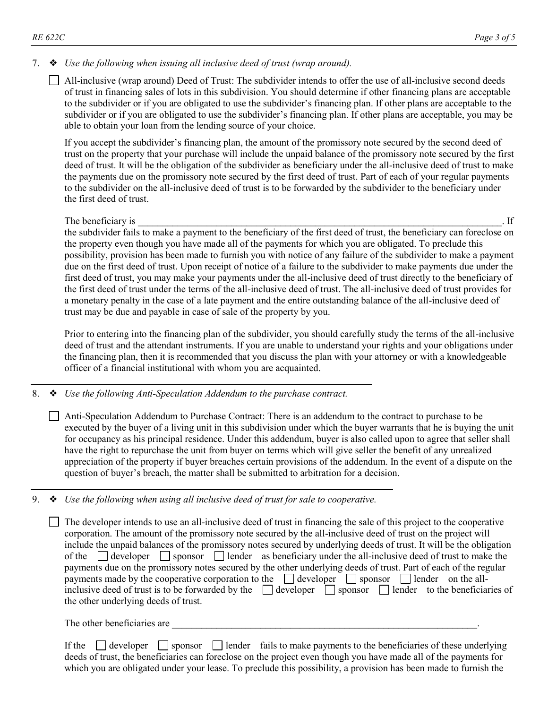## 7. ❖ *Use the following when issuing all inclusive deed of trust (wrap around).*

 All-inclusive (wrap around) Deed of Trust: The subdivider intends to offer the use of all-inclusive second deeds of trust in financing sales of lots in this subdivision. You should determine if other financing plans are acceptable to the subdivider or if you are obligated to use the subdivider's financing plan. If other plans are acceptable to the subdivider or if you are obligated to use the subdivider's financing plan. If other plans are acceptable, you may be able to obtain your loan from the lending source of your choice.

 If you accept the subdivider's financing plan, the amount of the promissory note secured by the second deed of deed of trust. It will be the obligation of the subdivider as beneficiary under the all-inclusive deed of trust to make the first deed of trust. trust on the property that your purchase will include the unpaid balance of the promissory note secured by the first the payments due on the promissory note secured by the first deed of trust. Part of each of your regular payments to the subdivider on the all-inclusive deed of trust is to be forwarded by the subdivider to the beneficiary under

## The beneficiary is  $\mathbf{F}$ . If

 the subdivider fails to make a payment to the beneficiary of the first deed of trust, the beneficiary can foreclose on the property even though you have made all of the payments for which you are obligated. To preclude this first deed of trust, you may make your payments under the all-inclusive deed of trust directly to the beneficiary of the first deed of trust under the terms of the all-inclusive deed of trust. The all-inclusive deed of trust provides for possibility, provision has been made to furnish you with notice of any failure of the subdivider to make a payment due on the first deed of trust. Upon receipt of notice of a failure to the subdivider to make payments due under the a monetary penalty in the case of a late payment and the entire outstanding balance of the all-inclusive deed of trust may be due and payable in case of sale of the property by you.

Prior to entering into the financing plan of the subdivider, you should carefully study the terms of the all-inclusive deed of trust and the attendant instruments. If you are unable to understand your rights and your obligations under the financing plan, then it is recommended that you discuss the plan with your attorney or with a knowledgeable officer of a financial institutional with whom you are acquainted.

8. ❖ *Use the following Anti-Speculation Addendum to the purchase contract.* 

Anti-Speculation Addendum to Purchase Contract: There is an addendum to the contract to purchase to be executed by the buyer of a living unit in this subdivision under which the buyer warrants that he is buying the unit for occupancy as his principal residence. Under this addendum, buyer is also called upon to agree that seller shall have the right to repurchase the unit from buyer on terms which will give seller the benefit of any unrealized appreciation of the property if buyer breaches certain provisions of the addendum. In the event of a dispute on the question of buyer's breach, the matter shall be submitted to arbitration for a decision.

9. ❖ *Use the following when using all inclusive deed of trust for sale to cooperative.* 

 The developer intends to use an all-inclusive deed of trust in financing the sale of this project to the cooperative of the developer sponsor lender as beneficiary under the all-inclusive deed of trust to make the payments due on the promissory notes secured by the other underlying deeds of trust. Part of each of the regular payments made by the cooperative corporation to the  $\Box$  developer  $\Box$  sponsor  $\Box$  lender on the allinclusive deed of trust is to be forwarded by the  $\Box$  developer  $\Box$  sponsor  $\Box$  lender to the beneficiaries of corporation. The amount of the promissory note secured by the all-inclusive deed of trust on the project will include the unpaid balances of the promissory notes secured by underlying deeds of trust. It will be the obligation the other underlying deeds of trust.

The other beneficiaries are

If the developer sponsor lender fails to make payments to the beneficiaries of these underlying deeds of trust, the beneficiaries can foreclose on the project even though you have made all of the payments for which you are obligated under your lease. To preclude this possibility, a provision has been made to furnish the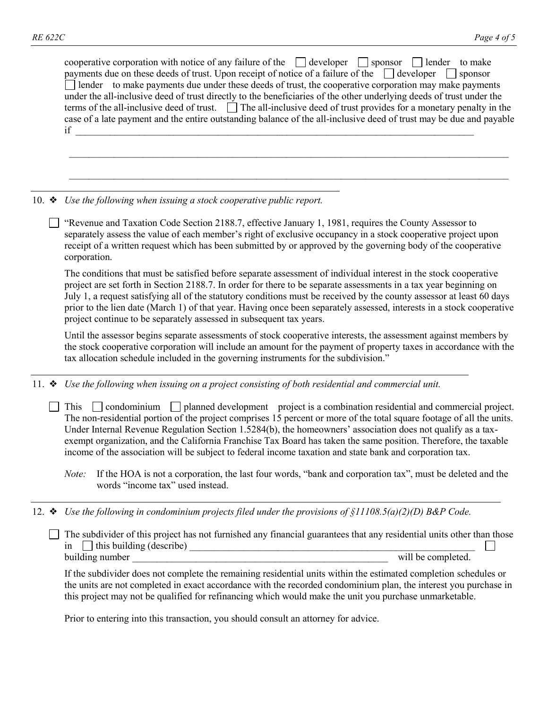|               | cooperative corporation with notice of any failure of the $\Box$ developer $\Box$ sponsor $\Box$ lender to make<br>payments due on these deeds of trust. Upon receipt of notice of a failure of the $\Box$ developer $\Box$ sponsor<br>I lender to make payments due under these deeds of trust, the cooperative corporation may make payments<br>under the all-inclusive deed of trust directly to the beneficiaries of the other underlying deeds of trust under the<br>terms of the all-inclusive deed of trust. $\Box$ The all-inclusive deed of trust provides for a monetary penalty in the<br>case of a late payment and the entire outstanding balance of the all-inclusive deed of trust may be due and payable<br>if |
|---------------|--------------------------------------------------------------------------------------------------------------------------------------------------------------------------------------------------------------------------------------------------------------------------------------------------------------------------------------------------------------------------------------------------------------------------------------------------------------------------------------------------------------------------------------------------------------------------------------------------------------------------------------------------------------------------------------------------------------------------------|
|               |                                                                                                                                                                                                                                                                                                                                                                                                                                                                                                                                                                                                                                                                                                                                |
| 10. $\bullet$ | Use the following when issuing a stock cooperative public report.                                                                                                                                                                                                                                                                                                                                                                                                                                                                                                                                                                                                                                                              |
|               | "Revenue and Taxation Code Section 2188.7, effective January 1, 1981, requires the County Assessor to<br>separately assess the value of each member's right of exclusive occupancy in a stock cooperative project upon<br>receipt of a written request which has been submitted by or approved by the governing body of the cooperative<br>corporation.                                                                                                                                                                                                                                                                                                                                                                        |
|               | The conditions that must be satisfied before separate assessment of individual interest in the stock cooperative<br>project are set forth in Section 2188.7. In order for there to be separate assessments in a tax year beginning on<br>July 1, a request satisfying all of the statutory conditions must be received by the county assessor at least 60 days<br>prior to the lien date (March 1) of that year. Having once been separately assessed, interests in a stock cooperative<br>project continue to be separately assessed in subsequent tax years.                                                                                                                                                                 |
|               | Until the assessor begins separate assessments of stock cooperative interests, the assessment against members by<br>the stock cooperative corporation will include an amount for the payment of property taxes in accordance with the<br>tax allocation schedule included in the governing instruments for the subdivision."                                                                                                                                                                                                                                                                                                                                                                                                   |
| 11. $\bullet$ | Use the following when issuing on a project consisting of both residential and commercial unit.                                                                                                                                                                                                                                                                                                                                                                                                                                                                                                                                                                                                                                |
|               | This $\Box$ condominium $\Box$ planned development project is a combination residential and commercial project.<br>The non-residential portion of the project comprises 15 percent or more of the total square footage of all the units.<br>Under Internal Revenue Regulation Section 1.5284(b), the homeowners' association does not qualify as a tax-<br>exempt organization, and the California Franchise Tax Board has taken the same position. Therefore, the taxable<br>income of the association will be subject to federal income taxation and state bank and corporation tax.                                                                                                                                         |
|               | If the HOA is not a corporation, the last four words, "bank and corporation tax", must be deleted and the<br>Note:<br>words "income tax" used instead.                                                                                                                                                                                                                                                                                                                                                                                                                                                                                                                                                                         |
|               | 12. $\bullet$ Use the following in condominium projects filed under the provisions of §11108.5(a)(2)(D) B&P Code.                                                                                                                                                                                                                                                                                                                                                                                                                                                                                                                                                                                                              |

 The subdivider of this project has not furnished any financial guarantees that any residential units other than those in this building (describe) \_\_\_\_\_\_\_\_\_\_\_\_\_\_\_\_\_\_\_\_\_\_\_\_\_\_\_\_\_\_\_\_\_\_\_\_\_\_\_\_\_\_\_\_\_\_\_\_\_\_\_\_\_\_\_\_\_\_ building number \_\_\_\_\_\_\_\_\_\_\_\_\_\_\_\_\_\_\_\_\_\_\_\_\_\_\_\_\_\_\_\_\_\_\_\_\_\_\_\_\_\_\_\_\_\_\_\_\_\_\_\_ will be completed.  $\Box$ 

If the subdivider does not complete the remaining residential units within the estimated completion schedules or the units are not completed in exact accordance with the recorded condominium plan, the interest you purchase in this project may not be qualified for refinancing which would make the unit you purchase unmarketable.

Prior to entering into this transaction, you should consult an attorney for advice.